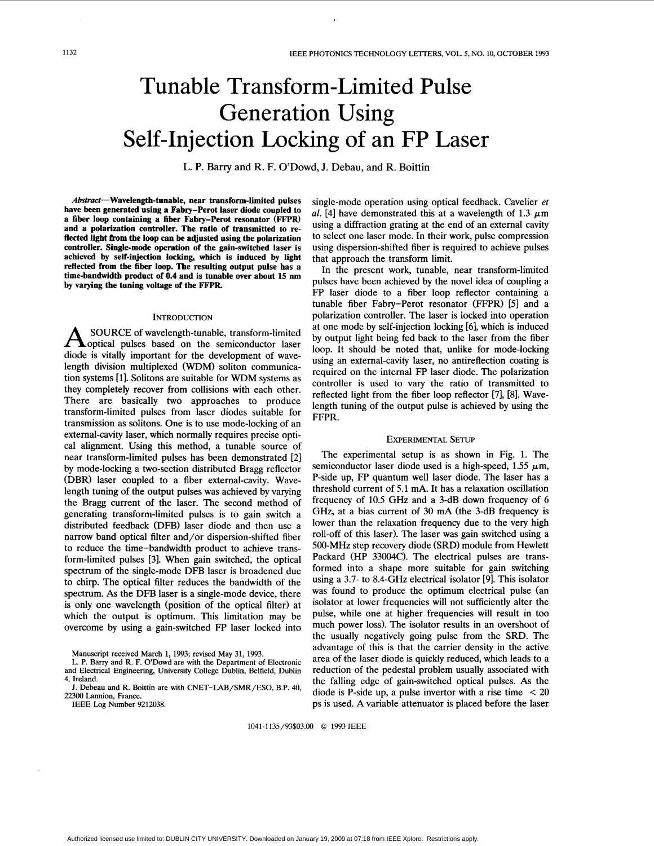# Tunable Transform-Limited Pulse Generation Using Self-Injection Locking of an FP Laser

**L. P.** Barry and R. F. O'Dowd, J. Debau, and R. Boittin

Abstract-Wavelength-tunable, near transform-limited pulses **have been generated using a Fabry-Perot laser diode coupled to a fiber loop containing a fiber Fabry-Perot resonator (FFPR) and a polarization controller. The ratio of transmitted to re**flected light from the loop can be adjusted using the polarization **controller. Single-mode operation of the gain-switched laser is achieved by self-iqjection locking, which is induced by light reflected from the fiber loop. The resulting output pulse has a time-bandwidth product of 0.4 and is tunable over about 15 nm by varying the tuning voltage of the FFPR** 

## **INTRODUCTION**

SOURCE of wavelength-tunable, transform-limited  $\Delta$  optical pulses based on the semiconductor laser diode is vitally important for the development of wavelength division multiplexed **(WDM)** soliton communication systems [l]. Solitons are suitable for WDM systems as they completely recover from collisions with each other. There are basically two approaches to produce transform-limited pulses from laser diodes suitable for transmission as solitons. One is to use mode-locking of an external-cavity laser, which normally requires precise optical alignment. Using this method, a tunable source of near transform-limited pulses has been demonstrated **[2]**  by mode-locking a two-section distributed Bragg reflector (DBR) laser coupled to a fiber external-cavity. Wavelength tuning of the output pulses was achieved by varying the Bragg current of the laser. The second method of generating transform-limited pulses is to gain switch a distributed feedback (DFB) laser diode and then use a narrow band optical filter and/or dispersion-shifted fiber to reduce the time-bandwidth product to achieve transform-limited pulses [3]. When gain switched, the optical spectrum of the single-mode DFB laser is broadened due to chirp. The optical filter reduces the bandwidth of the spectrum. *As* the DFB laser is a single-mode device, there is only one wavelength (position of the optical filter) at which the output is optimum. This limitation may be overcome by using a gain-switched FP laser locked into

Manuscript received March 1, 1993; revised May 31, 1993.

IEEE **Log** Number 9212038.

single-mode operation using optical feedback. Cavelier et al. [4] have demonstrated this at a wavelength of 1.3  $\mu$ m using a diffraction grating at the end of an external cavity to select one laser mode. In their work, pulse compression using dispersion-shifted fiber is required to achieve pulses that approach the transform limit.

In the present work, tunable, near transform-limited pulses have been achieved by the novel idea of coupling a FP laser diode to a fiber loop reflector containing a tunable fiber Fabry-Perot resonator (FFPR) [5] and a polarization controller. The laser is locked into operation at one mode by self-injection locking [6], which is induced by output light being fed back to the laser from the fiber loop. It should be noted that, unlike for mode-locking using an external-cavity laser, no antireflection coating is required on the internal FP laser diode. The polarization controller is used to vary the ratio of transmitted to reflected light from the fiber loop reflector [7], [8]. Wavelength tuning of the output pulse is achieved by using the FFPR.

# EXPERIMENTAL SETUP

The experimental setup is as shown in [Fig. 1.](#page-1-0) The semiconductor laser diode used is a high-speed, 1.55  $\mu$ m, P-side up, FP quantum well laser diode. The laser has a threshold current of 5.1 mA. It has a relaxation oscillation frequency of 10.5 GHz and a 3-dB down frequency of 6 GHz, at a bias current of 30 mA (the 3-dB frequency is lower than the relaxation frequency due to the very high roll-off of this laser). The laser was gain switched using a 500-MHz step recovery diode (SRD) module from Hewlett Packard (HP 33004C). The electrical pulses are transformed into a shape more suitable for gain switching using a 3.7- to 8.4-GHz electrical isolator [9]. This isolator was found to produce the optimum electrical pulse (an isolator at lower frequencies will not sufficiently alter the pulse, while one at higher frequencies will result in too much power loss). The isolator results in an overshoot of the usually negatively going pulse from the SRD. The advantage of this is that the carrier density in the active area of the laser diode is quickly reduced, which leads to a reduction of the pedestal problem usually associated with the falling edge of gain-switched optical pulses. *As* the diode is P-side up, a pulse invertor with a rise time  $\langle 20 \rangle$ ps is used. A variable attenuator is placed before the laser

1041-1135/93\$03.00 *0* 1993 IEEE

L. P. Barry and R. F. O'Dowd are with the Department of Electronic and Electrical Engineering, University College Dublin, Belfield, Dublin **4,** Ireland.

J. Debeau and R. Boittin are with CNET-LAB/SMR/ESO, B.P. 40, 22300 Lannion, **France.**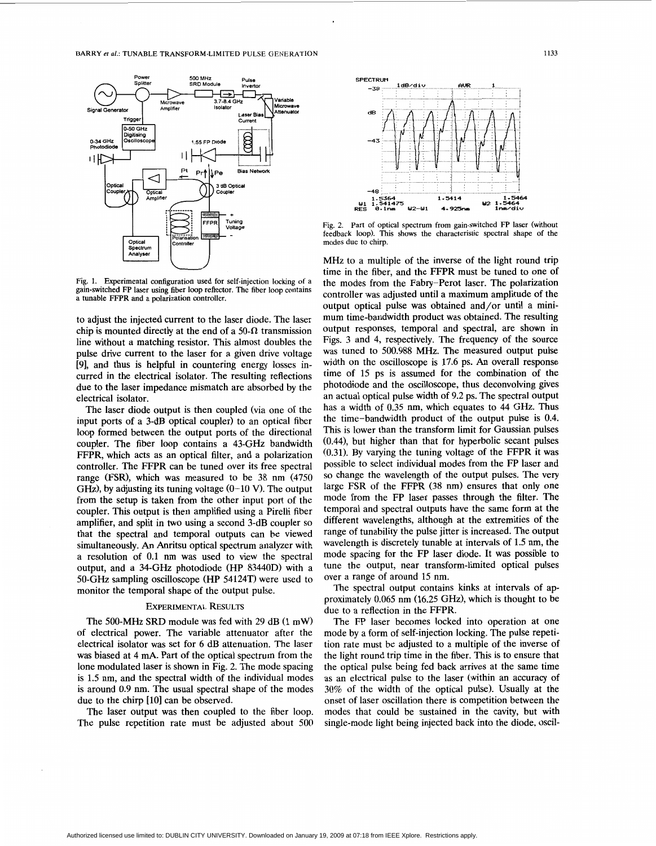<span id="page-1-0"></span>

**Fig. 1. Experimental configuration used for self-injection locking of a gain-switched FP laser using fiber loop reflector. The fiber loop contains**  a tunable FFPR and a polarization controller.

to adjust the injected current to the laser diode. The laser chip is mounted directly at the end of a 50- $\Omega$  transmission line without a matching resistor. This almost doubles the pulse drive current to the laser for a given drive voltage [9], and thus is helpful in countering energy losses incurred in the electrical isolator. The resulting reflections due to the laser impedance mismatch are absorbed by the electrical isolator.

The laser diode output is then coupled (via one of the input ports of a 3-dB optical coupler) to an optical fiber loop formed between the output ports of the directional coupler. The fiber loop contains a 43-GHz bandwidth FFPR, which acts as an optical filter, and a polarization controller. The FFPR can be tuned over its free spectral range (FSR), which was measured to be 38 nm (4750 GHz), by adjusting its tuning voltage  $(0-10 \text{ V})$ . The output from the setup is taken from the other input port of the coupler. This output is then amplified using a Pirelli fiber amplifier, and split in two using a second 3-dB coupler *so*  that the spectral and temporal outputs can be viewed simultaneously. *An* Anritsu optical spectrum analyzer with a resolution of 0.1 nm was used to view the spectral output, and a 34-GHz photodiode (HP 83440D) with a 50-GHz sampling oscilloscope (HP 54124T) were used to monitor the temporal shape of the output pulse.

# **EXPERIMENTAL RESULTS**

The 500-MHz SRD module was fed with 29 dB **(1** mW) of electrical power. The variable attenuator after the electrical isolator was set for 6 dB attenuation. The laser was biased at 4 mA. Part of the optical spectrum from the lone modulated laser is shown in Fig. 2. The mode spacing is 1.5 nm, and the spectral width of the individual modes is around 0.9 nm. The usual spectral shape of the modes due to the chirp [10] can be observed.

The laser output was then coupled to the fiber loop. The pulse repetition rate must be adjusted about 500



**Fig. 2. Part of optical spectrum from gain-switched FP laser (without feedback loop). This shows the characteristic spectral shape of the modes due to chirp.** 

MHz to a multiple of the inverse of the light round trip time in the fiber, and the FFPR must be tuned to one of the modes from the Fabry-Perot laser. The polarization controller was adjusted until a maximum amplitude of the output optical pulse was obtained and/or until a minimum time-bandwidth product was obtained. The resulting output responses, temporal and spectral, are shown in Figs. 3 and 4, respectively. The frequency of the source was tuned to 500.988 MHz. The measured output pulse width on the oscilloscope is 17.6 ps. *An* overall response time of 15 ps is assumed for the combination of the photodiode and the oscilloscope, thus deconvolving gives an actual optical pulse width of 9.2 ps. The spectral output has a width of 0.35 nm, which equates to 44 GHz. Thus the time-bandwidth product of the output pulse is 0.4. This is lower than the transform limit for Gaussian pulses (0.44), but higher than that for hyperbolic secant pulses (0.31). By varying the tuning voltage of the FFPR it was possible to select individual modes from the FP laser and so change the wavelength of the output pulses. The very large FSR of the FFPR (38 nm) ensures that only one mode from the FP laser passes through the filter. The temporal and spectral outputs have the same form at the different wavelengths, although at the extremities of the range of tunability the pulse jitter is increased. The output wavelength is discretely tunable at intervals of 1.5 nm, the mode spacing for the FP laser diode. It was possible to tune the output, near transform-limited optical pulses over a range of around 15 nm.

The spectral output contains kinks at intervals of approximately 0.065 nm (16.25 GHz), which is thought to be due to a reflection in the FFPR.

The FP laser becomes locked into operation at one mode by a form of self-injection locking. The pulse repetition rate must be adjusted to a multiple of the inverse of the light round trip time in the fiber. This is to ensure that the optical pulse being fed back arrives at the same time as an electrical pulse to the laser (within an accuracy of 30% of the width of the optical pulse). Usually at the onset of laser oscillation there is competition between the modes that could be sustained in the cavity, but with single-mode light being injected back into the diode, oscil-